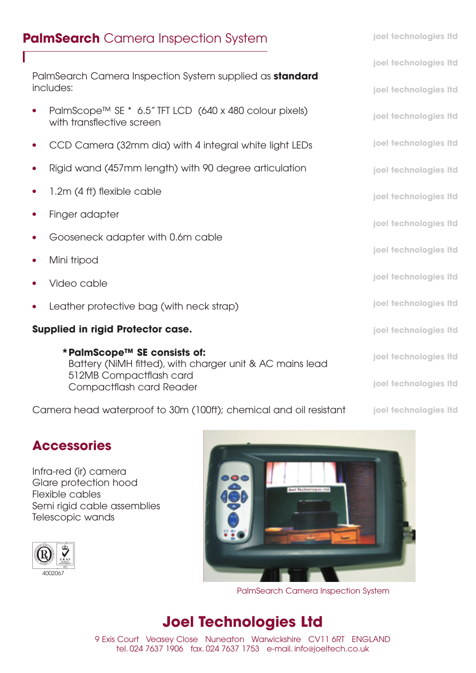# **PalmSearch** Camera Inspection System

PalmSearch Camera Inspection System supplied as **standard** includes:

- PalmScope™ SE \* 6.5" TFT LCD (640 x 480 colour pixels) with transflective screen
- **●** CCD Camera (32mm dia) with 4 integral white light LEDs
- **●** Rigid wand (457mm length) with 90 degree articulation
- 1.2m (4 ft) flexible cable
- **Finger adapter**
- **●** Gooseneck adapter with 0.6m cable
- **●** Mini tripod
- **●** Video cable
- Leather protective bag (with neck strap)

### **Supplied in rigid Protector case.**

**\*PalmScope™ SE consists of:** Battery (NiMH fitted), with charger unit & AC mains lead 512MB Compactflash card Compactflash card Reader

Camera head waterproof to 30m (100ft); chemical and oil resistant

# **Accessories**

Infra-red (ir) camera Glare protection hood Flexible cables Semi rigid cable assemblies Telescopic wands





PalmSearch Camera Inspection System

# **Joel Technologies Ltd**

9 Exis Court Veasey Close Nuneaton Warwickshire CV11 6RT ENGLAND tel. 024 7637 1906 fax. 024 7637 1753 e-mail. info@joeltech.co.uk

**joel technologies ltd joel technologies ltd joel technologies ltd joel technologies ltd joel technologies ltd joel technologies ltd joel technologies ltd joel technologies ltd joel technologies ltd joel technologies ltd joel technologies ltd joel technologies ltd joel technologies ltd joel technologies ltd**